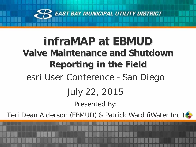

# infraMAP at EBMUD Valve Maintenance and Shutdown Reporting in the Field esri User Conference - San Diego July 22, 2015

Presented By:

Teri Dean Alderson (EBMUD) & Patrick Ward (iWater Inc.)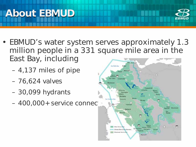



- EBMUD's water system serves approximately 1.3 million people in a 331 square mile area in the East Bay, including **Crysta** 
	- 4,137 miles of pipe
	- 76,624 valves
	- 30,099 hydrants
	- $-400,000+$  service connections

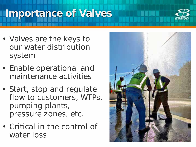## Importance of Valves



- Valves are the keys to our water distribution system
- Enable operational and maintenance activities
- Start, stop and regulate flow to customers, WTPs, pumping plants, pressure zones, etc.
- Critical in the control of water loss

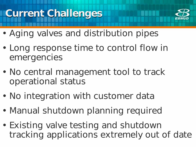### Current Challenges



- Aging valves and distribution pipes
- Long response time to control flow in emergencies
- No central management tool to track operational status
- No integration with customer data
- Manual shutdown planning required
- Existing valve testing and shutdown tracking applications extremely out of date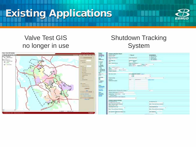## Existing Applications



#### Valve Test GIS no longer in use

#### Shutdown Tracking System

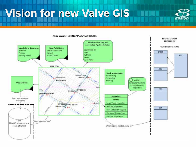### Vision for new Valve GIS



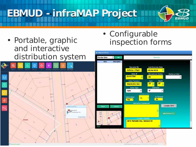EBMUD -infraMAP Project

- Portable, graphic and interactive distribution system
- Shire Eleisely

• Configurable inspection forms

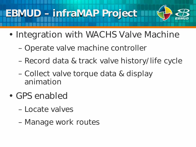#### EBMUD – infraMAP Project



- Integration with WACHS Valve Machine
	- Operate valve machine controller
	- Record data & track valve history/life cycle
	- Collect valve torque data & display animation
- GPS enabled
	- Locate valves
	- Manage work routes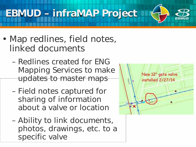EBMUD – infraMAP Project

- Map redlines, field notes, linked documents
	- Redlines created for ENG Mapping Services to make updates to master maps
	- Field notes captured for sharing of information about a valve or location
	- Ability to link documents, photos, drawings, etc. to a specific valve

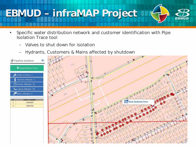## EBMUD – infraMAP Project

- Specific water distribution network and customer identification with Pipe Isolation Trace tool
	- Valves to shut down for isolation
	- Hydrants, Customers & Mains affected by shutdown

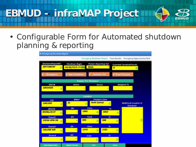

• Configurable Form for Automated shutdown planning & reporting

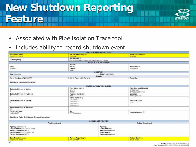## New Shutdown Reporting **Feature**



- Associated with Pipe Isolation Trace tool
- Includes ability to record shutdown event

|                                                      |                                                 | SHUTCOWN REPORT NO. 02501         |                                              |  |
|------------------------------------------------------|-------------------------------------------------|-----------------------------------|----------------------------------------------|--|
| Shutdown Bagin:<br>05/20/2015 15:50                  | Person Reporting Calt<br>T-Clonin               |                                   | <b>Freected Duration</b><br><b>G.PIOLITE</b> |  |
|                                                      | <b>IMPAIRMENTS</b>                              |                                   |                                              |  |
| Emergency                                            | Main Shutdown III Hydraws Cut III Road Closures |                                   |                                              |  |
|                                                      |                                                 | REASON FOR SHUTDOWN               |                                              |  |
|                                                      | Action:                                         |                                   |                                              |  |
| awa:                                                 | Repair                                          |                                   | Assigned To:                                 |  |
| 125356                                               | Devene:                                         |                                   | <b>TCRONIN</b>                               |  |
|                                                      | Main                                            |                                   |                                              |  |
|                                                      |                                                 | LOCATION<br><b>BMAP, 14518455</b> |                                              |  |
| City: Alateda                                        |                                                 | Streett                           |                                              |  |
| Taylor Ave From: 741 To: 777                         | 09: St From: 1406 To: 1414                      |                                   | From: To:                                    |  |
|                                                      |                                                 |                                   |                                              |  |
| Additional Location Information:                     |                                                 |                                   |                                              |  |
|                                                      |                                                 | WATER DISTRIBUTION SYSTEM         |                                              |  |
| <b>Estimated Count of Mains</b>                      | Pipe Extension(s)                               |                                   | Pipe Size and Material                       |  |
|                                                      | E-8417                                          |                                   | 4" Cast Iron<br>6" Asbestos Cement           |  |
|                                                      | 35300                                           |                                   |                                              |  |
| <b>Estimated Count of Hydrants</b>                   | <b>Hydrant Number(s)</b>                        |                                   | Location                                     |  |
|                                                      | 453.                                            |                                   | TTT Taylor due                               |  |
|                                                      | Valve Numberis)<br>CV-044018                    |                                   | Pressure Zone                                |  |
| Estimated Count of Valves                            |                                                 | CW044373                          |                                              |  |
|                                                      |                                                 | GV-044374                         |                                              |  |
|                                                      | GWD44235                                        |                                   |                                              |  |
| Estimated Count of Services                          |                                                 |                                   |                                              |  |
| 舘                                                    |                                                 |                                   |                                              |  |
| <b>Flushing From:</b>                                | At:                                             |                                   |                                              |  |
| Hydrant 403                                          |                                                 | TTT Taylor Ave.                   |                                              |  |
| Additional Water Distribution System Information:    |                                                 |                                   |                                              |  |
|                                                      |                                                 | <b>AGENCY NO TIFICATION</b>       |                                              |  |
| Fire Department                                      |                                                 | <b>Police Department</b>          |                                              |  |
|                                                      |                                                 |                                   |                                              |  |
| Agency: Alameda PD<br>Date/Time Out:05/20/2015 15:51 |                                                 | Agency.<br>Date/Time Out:         |                                              |  |
|                                                      |                                                 |                                   |                                              |  |
| Person Contacted: #570                               |                                                 | <b>Person Contacted:</b>          |                                              |  |
| Date/Time In:05/21/2015 03:05                        |                                                 | Date/Time In:                     |                                              |  |
| Person Contacted:#578                                |                                                 | Person Contacted:                 |                                              |  |
| Date/Time in Service                                 | Person Reporting in                             |                                   | <b>Actual Duration</b>                       |  |
| <b>RANGZZA</b><br>05/21/2915 03:04                   |                                                 |                                   | 1120 hours                                   |  |
|                                                      |                                                 |                                   |                                              |  |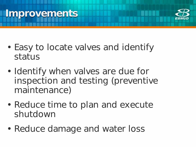#### **Improvements**



- Easy to locate valves and identify status
- Identify when valves are due for inspection and testing (preventive maintenance)
- Reduce time to plan and execute shutdown
- Reduce damage and water loss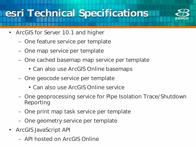## esri Technical Specifications



- ArcGIS for Server 10.1 and higher
	- One feature service per template
	- One map service per template
	- One cached basemap map service per template
		- Can also use ArcGIS Online basemaps
	- One geocode service per template
		- Can also use ArcGIS Online service
	- One geoprocessing service for Pipe Isolation Trace/Shutdown Reporting
	- One print map task service per template
	- One geometry service per template
- ArcGIS JavaScript API
	- API hosted on ArcGIS Online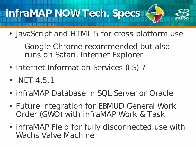

- JavaScript and HTML 5 for cross platform use
	- Google Chrome recommended but also runs on Safari, Internet Explorer
- Internet Information Services (IIS) 7
- . NET 4.5.1
- infraMAP Database in SQL Server or Oracle
- Future integration for EBMUD General Work Order (GWO) with infraMAP Work & Task
- infraMAP Field for fully disconnected use with Wachs Valve Machine